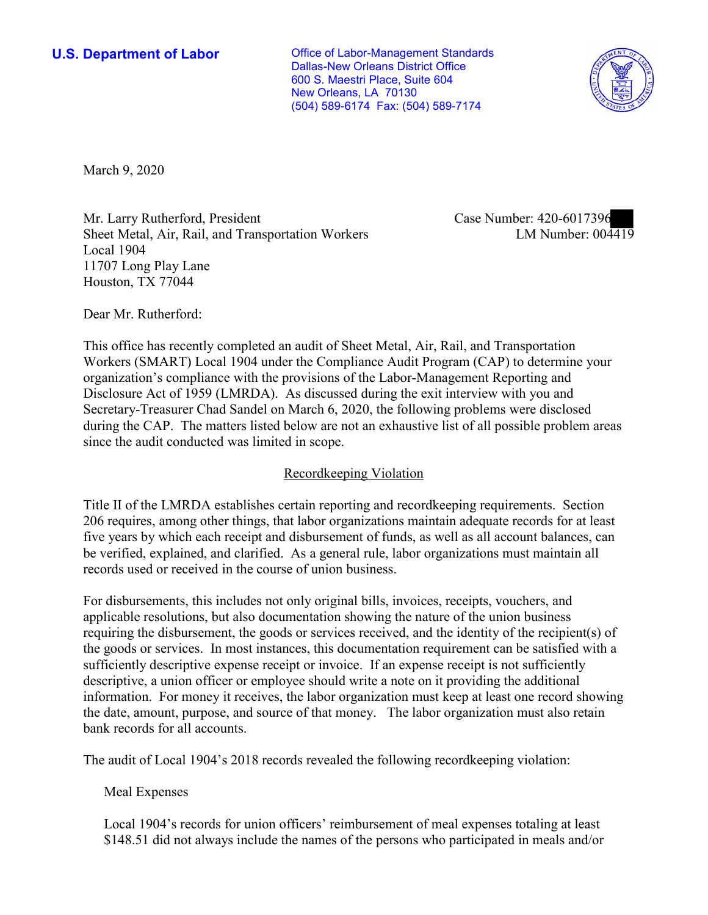**U.S. Department of Labor Conservative Conservative Conservative Conservative U.S.** Department of Labor Dallas-New Orleans District Office 600 S. Maestri Place, Suite 604 New Orleans, LA 70130 (504) 589-6174 Fax: (504) 589-7174



March 9, 2020

Mr. Larry Rutherford, President Sheet Metal, Air, Rail, and Transportation Workers Local 1904 11707 Long Play Lane Houston, TX 77044

Case Number: 420-6017396<br>LM Number: 004419

Dear Mr. Rutherford:

This office has recently completed an audit of Sheet Metal, Air, Rail, and Transportation Workers (SMART) Local 1904 under the Compliance Audit Program (CAP) to determine your organization's compliance with the provisions of the Labor-Management Reporting and Disclosure Act of 1959 (LMRDA). As discussed during the exit interview with you and Secretary-Treasurer Chad Sandel on March 6, 2020, the following problems were disclosed during the CAP. The matters listed below are not an exhaustive list of all possible problem areas since the audit conducted was limited in scope.

## Recordkeeping Violation

Title II of the LMRDA establishes certain reporting and recordkeeping requirements. Section 206 requires, among other things, that labor organizations maintain adequate records for at least five years by which each receipt and disbursement of funds, as well as all account balances, can be verified, explained, and clarified. As a general rule, labor organizations must maintain all records used or received in the course of union business.

For disbursements, this includes not only original bills, invoices, receipts, vouchers, and applicable resolutions, but also documentation showing the nature of the union business requiring the disbursement, the goods or services received, and the identity of the recipient(s) of the goods or services. In most instances, this documentation requirement can be satisfied with a sufficiently descriptive expense receipt or invoice. If an expense receipt is not sufficiently descriptive, a union officer or employee should write a note on it providing the additional information. For money it receives, the labor organization must keep at least one record showing the date, amount, purpose, and source of that money. The labor organization must also retain bank records for all accounts.

The audit of Local 1904's 2018 records revealed the following recordkeeping violation:

Meal Expenses

Local 1904's records for union officers' reimbursement of meal expenses totaling at least \$148.51 did not always include the names of the persons who participated in meals and/or